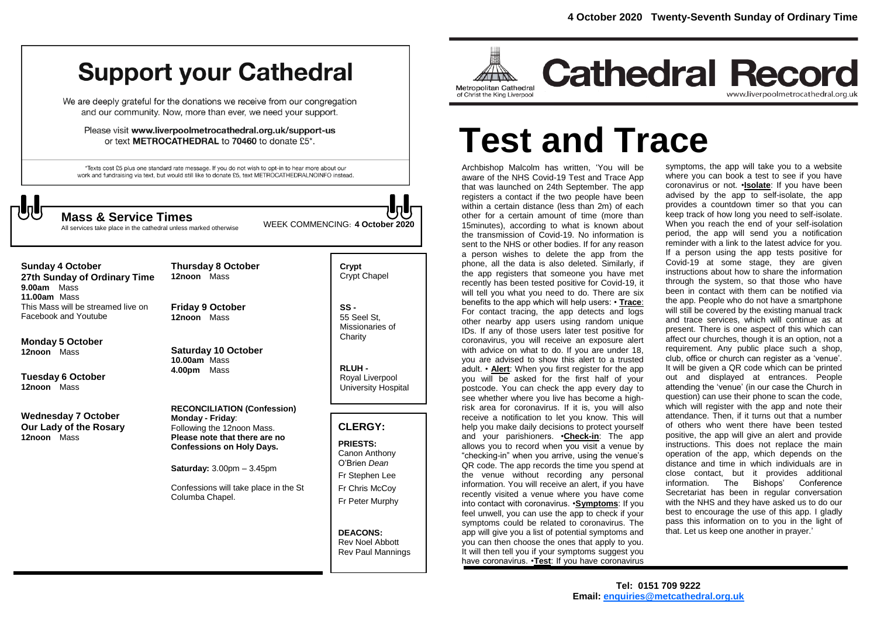# **Support your Cathedral**

We are deeply grateful for the donations we receive from our congregation and our community. Now, more than ever, we need your support.

Please visit www.liverpoolmetrocathedral.org.uk/support-us or text METROCATHEDRAL to 70460 to donate £5\*.

\*Texts cost £5 plus one standard rate message. If you do not wish to opt-in to hear more about our work and fundraising via text, but would still like to donate £5, text METROCATHEDRALNOINFO instead.



All services take place in the cathedral unless marked otherwise

WEEK COMMENCING: **4 October <sup>2020</sup> Mass & Service Times**

**Sunday 4 October 27th Sunday of Ordinary Time 9.00am** Mass **11.00am** Mass

This Mass will be streamed live on Facebook and Youtube

**Monday 5 October 12noon** Mass

**Tuesday 6 October 12noon** Mass

**Wednesday 7 October Our Lady of the Rosary 12noon** Mass

**12noon** Mass **Friday 9 October 12noon** Mass

**Thursday 8 October** 

**Saturday 10 October 10.00am** Mass **4.00pm** Mass

**RECONCILIATION (Confession) Monday - Friday**: Following the 12noon Mass. **Please note that there are no Confessions on Holy Days.**

**Saturday:** 3.00pm – 3.45pm

Confessions will take place in the St Columba Chapel.

**Crypt**  Crypt Chapel

**SS -** 55 Seel St, Missionaries of **Charity** 

**RLUH -** Royal Liverpool University Hospital

## **CLERGY:**

**PRIESTS:** Canon Anthony O'Brien *Dean* Fr Stephen Lee Fr Chris McCoy Fr Peter Murphy

**DEACONS:** Rev Noel Abbott Rev Paul Mannings



# **Test and Trace**

Archbishop Malcolm has written, 'You will be aware of the NHS Covid-19 Test and Trace App that was launched on 24th September. The app registers a contact if the two people have been within a certain distance (less than 2m) of each other for a certain amount of time (more than 15minutes), according to what is known about the transmission of Covid-19. No information is sent to the NHS or other bodies. If for any reason a person wishes to delete the app from the phone, all the data is also deleted. Similarly, if the app registers that someone you have met recently has been tested positive for Covid-19, it will tell you what you need to do. There are six benefits to the app which will help users: • **Trace**: For contact tracing, the app detects and logs other nearby app users using random unique IDs. If any of those users later test positive for coronavirus, you will receive an exposure alert with advice on what to do. If you are under 18, you are advised to show this alert to a trusted adult. • **Alert**: When you first register for the app you will be asked for the first half of your postcode. You can check the app every day to see whether where you live has become a highrisk area for coronavirus. If it is, you will also receive a notification to let you know. This will help you make daily decisions to protect yourself and your parishioners. •**Check-in**: The app allows you to record when you visit a venue by "checking-in" when you arrive, using the venue's QR code. The app records the time you spend at the venue without recording any personal information. You will receive an alert, if you have recently visited a venue where you have come into contact with coronavirus. •**Symptoms**: If you feel unwell, you can use the app to check if your symptoms could be related to coronavirus. The app will give you a list of potential symptoms and you can then choose the ones that apply to you. It will then tell you if your symptoms suggest you have coronavirus. •**Test**: If you have coronavirus

symptoms, the app will take you to a website where you can book a test to see if you have coronavirus or not. •**Isolate**: If you have been advised by the app to self-isolate, the app provides a countdown timer so that you can keep track of how long you need to self-isolate. When you reach the end of your self-isolation period, the app will send you a notification reminder with a link to the latest advice for you. If a person using the app tests positive for Covid-19 at some stage, they are given instructions about how to share the information through the system, so that those who have been in contact with them can be notified via the app. People who do not have a smartphone will still be covered by the existing manual track and trace services, which will continue as at present. There is one aspect of this which can affect our churches, though it is an option, not a requirement. Any public place such a shop, club, office or church can register as a 'venue'. It will be given a QR code which can be printed out and displayed at entrances. People attending the 'venue' (in our case the Church in question) can use their phone to scan the code, which will register with the app and note their attendance. Then, if it turns out that a number of others who went there have been tested positive, the app will give an alert and provide instructions. This does not replace the main operation of the app, which depends on the distance and time in which individuals are in close contact, but it provides additional information. The Bishops' Conference Secretariat has been in regular conversation with the NHS and they have asked us to do our best to encourage the use of this app. I gladly pass this information on to you in the light of that. Let us keep one another in prayer.'